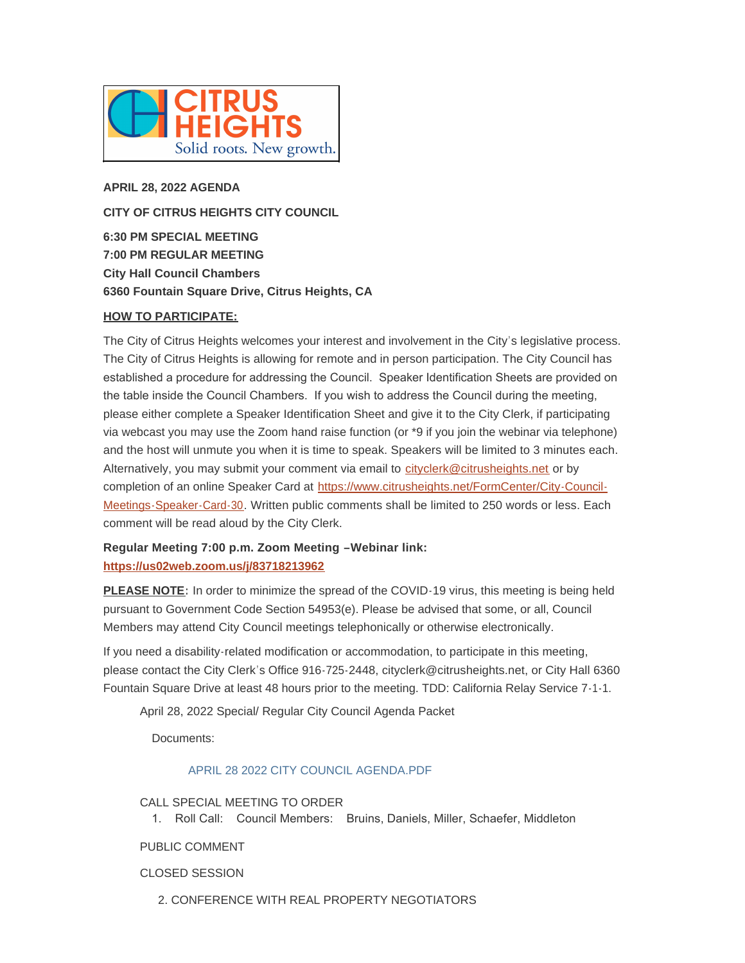

**APRIL 28, 2022 AGENDA CITY OF CITRUS HEIGHTS CITY COUNCIL 6:30 PM SPECIAL MEETING 7:00 PM REGULAR MEETING City Hall Council Chambers**

**6360 Fountain Square Drive, Citrus Heights, CA**

# **HOW TO PARTICIPATE:**

The City of Citrus Heights welcomes your interest and involvement in the City's legislative process. The City of Citrus Heights is allowing for remote and in person participation. The City Council has established a procedure for addressing the Council. Speaker Identification Sheets are provided on the table inside the Council Chambers. If you wish to address the Council during the meeting, please either complete a Speaker Identification Sheet and give it to the City Clerk, if participating via webcast you may use the Zoom hand raise function (or \*9 if you join the webinar via telephone) and the host will unmute you when it is time to speak. Speakers will be limited to 3 minutes each. Alternatively, you may submit your comment via email to [cityclerk@citrusheights.net](mailto:cityclerk@citrusheights.net) or by completion of an online Speaker Card at https://www.citrusheights.net/FormCenter/City-Council-Meetings-Speaker-Card-30. Written publ[ic comments shall be limited to 250 words or less. Each](https://www.citrusheights.net/FormCenter/City-Council-Meetings-Speaker-Card-30)  comment will be read aloud by the City Clerk.

# **[Regular Meeting 7:00 p.m. Zoom Meeti](https://us02web.zoom.us/j/83718213962)ng –Webinar link: https://us02web.zoom.us/j/83718213962**

**PLEASE NOTE:** In order to minimize the spread of the COVID-19 virus, this meeting is being held pursuant to Government Code Section 54953(e). Please be advised that some, or all, Council Members may attend City Council meetings telephonically or otherwise electronically.

If you need a disability-related modification or accommodation, to participate in this meeting, please contact the City Clerk's Office 916-725-2448, cityclerk@citrusheights.net, or City Hall 6360 Fountain Square Drive at least 48 hours prior to the meeting. TDD: California Relay Service 7-1-1.

April 28, 2022 Special/ Regular City Council Agenda Packet

Documents:

# [APRIL 28 2022 CITY COUNCIL AGENDA.PDF](http://www.citrusheights.net/AgendaCenter/ViewFile/Item/6698?fileID=34836)

CALL SPECIAL MEETING TO ORDER

1. Roll Call: Council Members: Bruins, Daniels, Miller, Schaefer, Middleton

# PUBLIC COMMENT

CLOSED SESSION

2. CONFERENCE WITH REAL PROPERTY NEGOTIATORS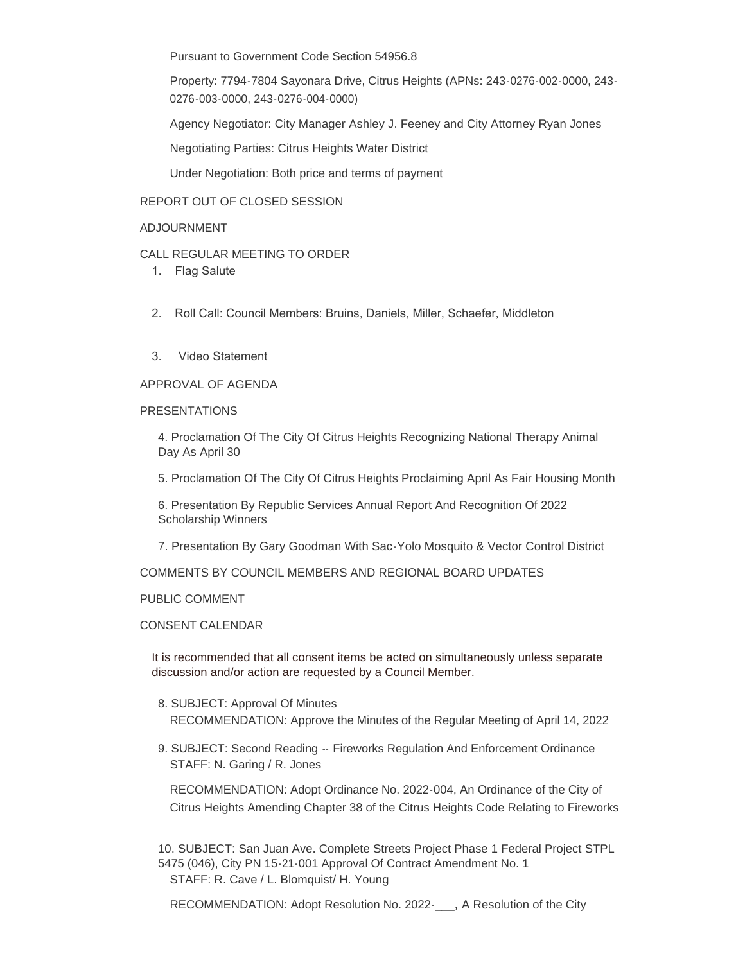Pursuant to Government Code Section 54956.8

Property: 7794-7804 Sayonara Drive, Citrus Heights (APNs: 243-0276-002-0000, 243- 0276-003-0000, 243-0276-004-0000)

Agency Negotiator: City Manager Ashley J. Feeney and City Attorney Ryan Jones

Negotiating Parties: Citrus Heights Water District

Under Negotiation: Both price and terms of payment

# REPORT OUT OF CLOSED SESSION

#### ADJOURNMENT

# CALL REGULAR MEETING TO ORDER

- 1. Flag Salute
- 2. Roll Call: Council Members: Bruins, Daniels, Miller, Schaefer, Middleton
- 3. Video Statement

#### APPROVAL OF AGENDA

#### PRESENTATIONS

4. Proclamation Of The City Of Citrus Heights Recognizing National Therapy Animal Day As April 30

5. Proclamation Of The City Of Citrus Heights Proclaiming April As Fair Housing Month

6. Presentation By Republic Services Annual Report And Recognition Of 2022 Scholarship Winners

7. Presentation By Gary Goodman With Sac-Yolo Mosquito & Vector Control District

COMMENTS BY COUNCIL MEMBERS AND REGIONAL BOARD UPDATES

# PUBLIC COMMENT

#### CONSENT CALENDAR

It is recommended that all consent items be acted on simultaneously unless separate discussion and/or action are requested by a Council Member.

- 8. SUBJECT: Approval Of Minutes RECOMMENDATION: Approve the Minutes of the Regular Meeting of April 14, 2022
- 9. SUBJECT: Second Reading -- Fireworks Regulation And Enforcement Ordinance STAFF: N. Garing / R. Jones

RECOMMENDATION: Adopt Ordinance No. 2022-004, An Ordinance of the City of Citrus Heights Amending Chapter 38 of the Citrus Heights Code Relating to Fireworks

10. SUBJECT: San Juan Ave. Complete Streets Project Phase 1 Federal Project STPL 5475 (046), City PN 15-21-001 Approval Of Contract Amendment No. 1 STAFF: R. Cave / L. Blomquist/ H. Young

RECOMMENDATION: Adopt Resolution No. 2022- A Resolution of the City